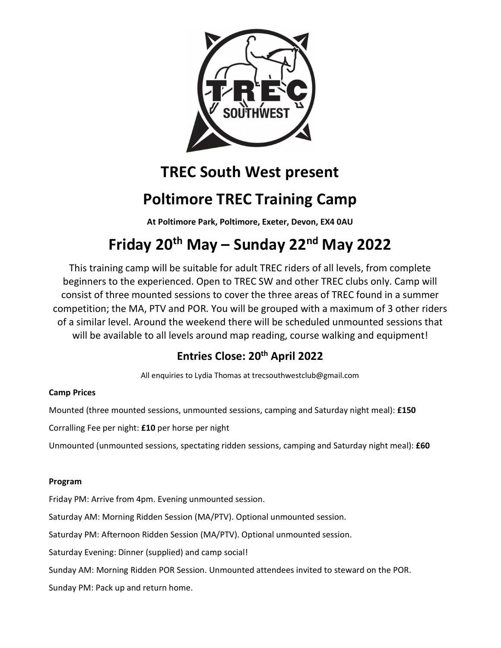

## TREC South West present

## Poltimore TREC Training Camp

At Poltimore Park, Poltimore, Exeter, Devon, EX4 0AU

# Friday 20th May – Sunday 22nd May 2022

This training camp will be suitable for adult TREC riders of all levels, from complete beginners to the experienced. Open to TREC SW and other TREC clubs only. Camp will consist of three mounted sessions to cover the three areas of TREC found in a summer competition; the MA, PTV and POR. You will be grouped with a maximum of 3 other riders of a similar level. Around the weekend there will be scheduled unmounted sessions that will be available to all levels around map reading, course walking and equipment!

## Entries Close: 20<sup>th</sup> April 2022

All enquiries to Lydia Thomas at trecsouthwestclub@gmail.com

### Camp Prices

Mounted (three mounted sessions, unmounted sessions, camping and Saturday night meal): £150

Corralling Fee per night: £10 per horse per night

Unmounted (unmounted sessions, spectating ridden sessions, camping and Saturday night meal): £60

### Program

Friday PM: Arrive from 4pm. Evening unmounted session.

Saturday AM: Morning Ridden Session (MA/PTV). Optional unmounted session.

Saturday PM: Afternoon Ridden Session (MA/PTV). Optional unmounted session.

Saturday Evening: Dinner (supplied) and camp social!

Sunday AM: Morning Ridden POR Session. Unmounted attendees invited to steward on the POR.

Sunday PM: Pack up and return home.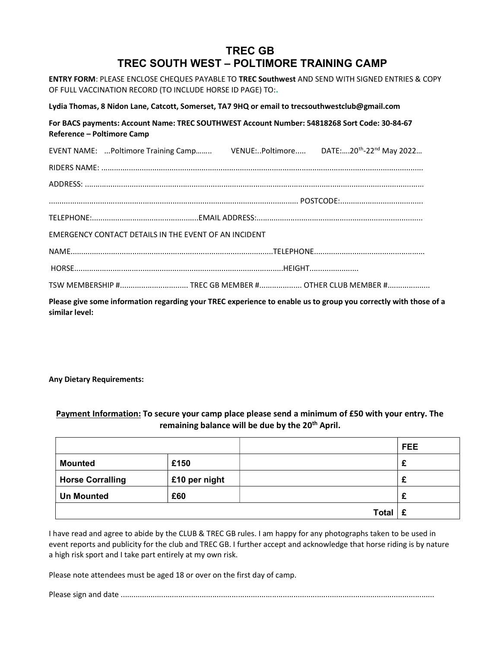## TREC GB TREC SOUTH WEST – POLTIMORE TRAINING CAMP

ENTRY FORM: PLEASE ENCLOSE CHEQUES PAYABLE TO TREC Southwest AND SEND WITH SIGNED ENTRIES & COPY OF FULL VACCINATION RECORD (TO INCLUDE HORSE ID PAGE) TO:.

Lydia Thomas, 8 Nidon Lane, Catcott, Somerset, TA7 9HQ or email to trecsouthwestclub@gmail.com

For BACS payments: Account Name: TREC SOUTHWEST Account Number: 54818268 Sort Code: 30-84-67 Reference – Poltimore Camp

|                                                       |  |  | EVENT NAME: Poltimore Training Camp VENUE:Poltimore DATE:20 <sup>th</sup> -22 <sup>nd</sup> May 2022            |  |  |  |
|-------------------------------------------------------|--|--|-----------------------------------------------------------------------------------------------------------------|--|--|--|
|                                                       |  |  |                                                                                                                 |  |  |  |
|                                                       |  |  |                                                                                                                 |  |  |  |
|                                                       |  |  |                                                                                                                 |  |  |  |
|                                                       |  |  |                                                                                                                 |  |  |  |
| EMERGENCY CONTACT DETAILS IN THE EVENT OF AN INCIDENT |  |  |                                                                                                                 |  |  |  |
|                                                       |  |  |                                                                                                                 |  |  |  |
|                                                       |  |  |                                                                                                                 |  |  |  |
|                                                       |  |  | TSW MEMBERSHIP # TREC GB MEMBER # OTHER CLUB MEMBER #                                                           |  |  |  |
| similar level:                                        |  |  | Please give some information regarding your TREC experience to enable us to group you correctly with those of a |  |  |  |

#### Any Dietary Requirements:

#### Payment Information: To secure your camp place please send a minimum of £50 with your entry. The remaining balance will be due by the 20<sup>th</sup> April.

|                         |               |              | <b>FEE</b> |
|-------------------------|---------------|--------------|------------|
| <b>Mounted</b>          | £150          |              | ż.         |
| <b>Horse Corralling</b> | £10 per night |              | £          |
| <b>Un Mounted</b>       | £60           |              | £          |
|                         |               | <b>Total</b> | £          |

I have read and agree to abide by the CLUB & TREC GB rules. I am happy for any photographs taken to be used in event reports and publicity for the club and TREC GB. I further accept and acknowledge that horse riding is by nature a high risk sport and I take part entirely at my own risk.

Please note attendees must be aged 18 or over on the first day of camp.

Please sign and date ...................................................................................................................................................